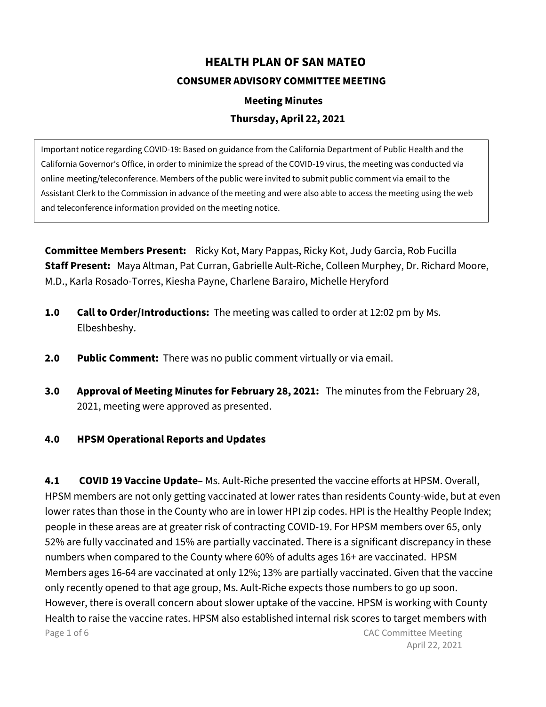## **HEALTH PLAN OF SAN MATEO CONSUMER ADVISORY COMMITTEE MEETING**

## **Meeting Minutes**

## **Thursday, April 22, 2021**

Important notice regarding COVID-19: Based on guidance from the California Department of Public Health and the California Governor's Office, in order to minimize the spread of the COVID-19 virus, the meeting was conducted via online meeting/teleconference. Members of the public were invited to submit public comment via email to the Assistant Clerk to the Commission in advance of the meeting and were also able to access the meeting using the web and teleconference information provided on the meeting notice.

**Committee Members Present:** Ricky Kot, Mary Pappas, Ricky Kot, Judy Garcia, Rob Fucilla **Staff Present:** Maya Altman, Pat Curran, Gabrielle Ault-Riche, Colleen Murphey, Dr. Richard Moore, M.D., Karla Rosado-Torres, Kiesha Payne, Charlene Barairo, Michelle Heryford

- **1.0 Call to Order/Introductions:** The meeting was called to order at 12:02 pm by Ms. Elbeshbeshy.
- **2.0 Public Comment:** There was no public comment virtually or via email.
- **3.0 Approval of Meeting Minutes for February 28, 2021:** The minutes from the February 28, 2021, meeting were approved as presented.
- **4.0 HPSM Operational Reports and Updates**

Page 1 of 6 CAC Committee Meeting **4.1 COVID 19 Vaccine Update–** Ms. Ault-Riche presented the vaccine efforts at HPSM. Overall, HPSM members are not only getting vaccinated at lower rates than residents County-wide, but at even lower rates than those in the County who are in lower HPI zip codes. HPI is the Healthy People Index; people in these areas are at greater risk of contracting COVID-19. For HPSM members over 65, only 52% are fully vaccinated and 15% are partially vaccinated. There is a significant discrepancy in these numbers when compared to the County where 60% of adults ages 16+ are vaccinated. HPSM Members ages 16-64 are vaccinated at only 12%; 13% are partially vaccinated. Given that the vaccine only recently opened to that age group, Ms. Ault-Riche expects those numbers to go up soon. However, there is overall concern about slower uptake of the vaccine. HPSM is working with County Health to raise the vaccine rates. HPSM also established internal risk scores to target members with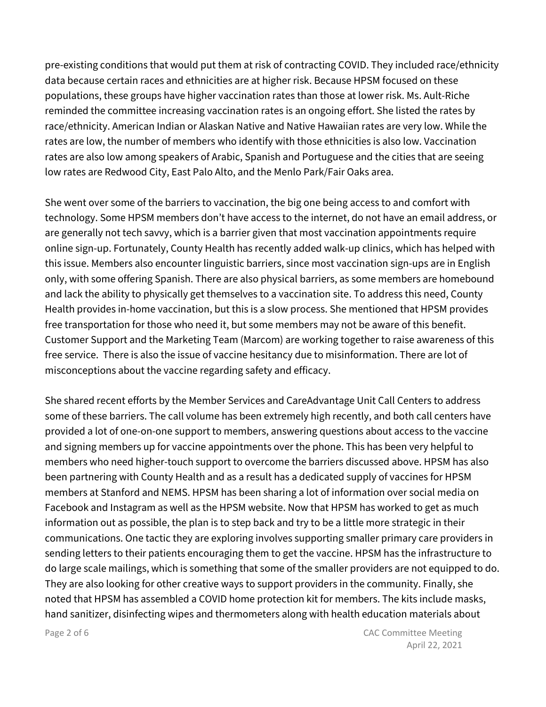pre-existing conditions that would put them at risk of contracting COVID. They included race/ethnicity data because certain races and ethnicities are at higher risk. Because HPSM focused on these populations, these groups have higher vaccination rates than those at lower risk. Ms. Ault-Riche reminded the committee increasing vaccination rates is an ongoing effort. She listed the rates by race/ethnicity. American Indian or Alaskan Native and Native Hawaiian rates are very low. While the rates are low, the number of members who identify with those ethnicities is also low. Vaccination rates are also low among speakers of Arabic, Spanish and Portuguese and the cities that are seeing low rates are Redwood City, East Palo Alto, and the Menlo Park/Fair Oaks area.

She went over some of the barriers to vaccination, the big one being access to and comfort with technology. Some HPSM members don't have access to the internet, do not have an email address, or are generally not tech savvy, which is a barrier given that most vaccination appointments require online sign-up. Fortunately, County Health has recently added walk-up clinics, which has helped with this issue. Members also encounter linguistic barriers, since most vaccination sign-ups are in English only, with some offering Spanish. There are also physical barriers, as some members are homebound and lack the ability to physically get themselves to a vaccination site. To address this need, County Health provides in-home vaccination, but this is a slow process. She mentioned that HPSM provides free transportation for those who need it, but some members may not be aware of this benefit. Customer Support and the Marketing Team (Marcom) are working together to raise awareness of this free service. There is also the issue of vaccine hesitancy due to misinformation. There are lot of misconceptions about the vaccine regarding safety and efficacy.

She shared recent efforts by the Member Services and CareAdvantage Unit Call Centers to address some of these barriers. The call volume has been extremely high recently, and both call centers have provided a lot of one-on-one support to members, answering questions about access to the vaccine and signing members up for vaccine appointments over the phone. This has been very helpful to members who need higher-touch support to overcome the barriers discussed above. HPSM has also been partnering with County Health and as a result has a dedicated supply of vaccines for HPSM members at Stanford and NEMS. HPSM has been sharing a lot of information over social media on Facebook and Instagram as well as the HPSM website. Now that HPSM has worked to get as much information out as possible, the plan is to step back and try to be a little more strategic in their communications. One tactic they are exploring involves supporting smaller primary care providers in sending letters to their patients encouraging them to get the vaccine. HPSM has the infrastructure to do large scale mailings, which is something that some of the smaller providers are not equipped to do. They are also looking for other creative ways to support providers in the community. Finally, she noted that HPSM has assembled a COVID home protection kit for members. The kits include masks, hand sanitizer, disinfecting wipes and thermometers along with health education materials about

Page 2 of 6 CAC Committee Meeting April 22, 2021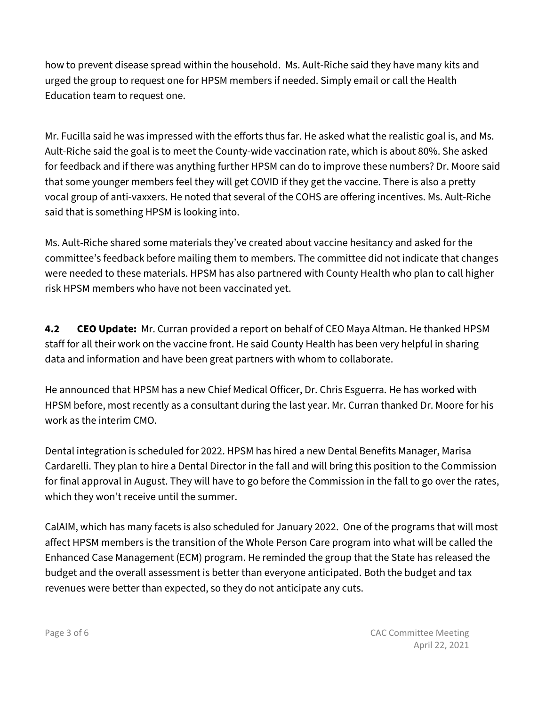how to prevent disease spread within the household. Ms. Ault-Riche said they have many kits and urged the group to request one for HPSM members if needed. Simply email or call the Health Education team to request one.

Mr. Fucilla said he was impressed with the efforts thus far. He asked what the realistic goal is, and Ms. Ault-Riche said the goal is to meet the County-wide vaccination rate, which is about 80%. She asked for feedback and if there was anything further HPSM can do to improve these numbers? Dr. Moore said that some younger members feel they will get COVID if they get the vaccine. There is also a pretty vocal group of anti-vaxxers. He noted that several of the COHS are offering incentives. Ms. Ault-Riche said that is something HPSM is looking into.

Ms. Ault-Riche shared some materials they've created about vaccine hesitancy and asked for the committee's feedback before mailing them to members. The committee did not indicate that changes were needed to these materials. HPSM has also partnered with County Health who plan to call higher risk HPSM members who have not been vaccinated yet.

**4.2 CEO Update:** Mr. Curran provided a report on behalf of CEO Maya Altman. He thanked HPSM staff for all their work on the vaccine front. He said County Health has been very helpful in sharing data and information and have been great partners with whom to collaborate.

He announced that HPSM has a new Chief Medical Officer, Dr. Chris Esguerra. He has worked with HPSM before, most recently as a consultant during the last year. Mr. Curran thanked Dr. Moore for his work as the interim CMO.

Dental integration is scheduled for 2022. HPSM has hired a new Dental Benefits Manager, Marisa Cardarelli. They plan to hire a Dental Director in the fall and will bring this position to the Commission for final approval in August. They will have to go before the Commission in the fall to go over the rates, which they won't receive until the summer.

CalAIM, which has many facets is also scheduled for January 2022. One of the programs that will most affect HPSM members is the transition of the Whole Person Care program into what will be called the Enhanced Case Management (ECM) program. He reminded the group that the State has released the budget and the overall assessment is better than everyone anticipated. Both the budget and tax revenues were better than expected, so they do not anticipate any cuts.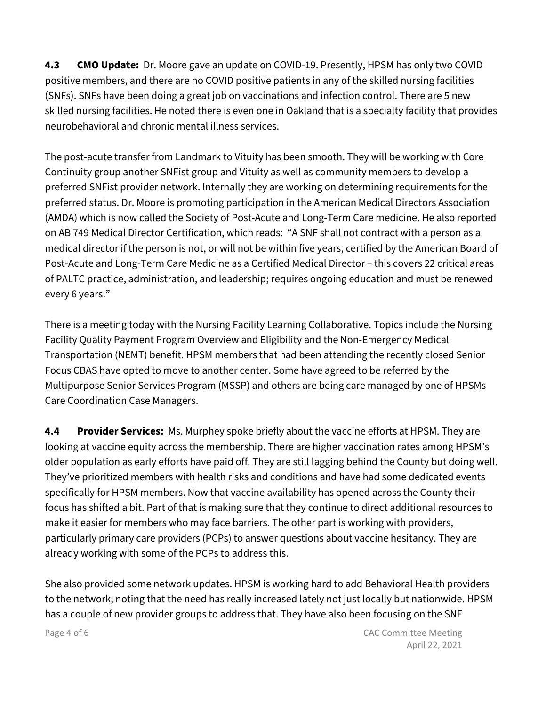**4.3 CMO Update:** Dr. Moore gave an update on COVID-19. Presently, HPSM has only two COVID positive members, and there are no COVID positive patients in any of the skilled nursing facilities (SNFs). SNFs have been doing a great job on vaccinations and infection control. There are 5 new skilled nursing facilities. He noted there is even one in Oakland that is a specialty facility that provides neurobehavioral and chronic mental illness services.

The post-acute transfer from Landmark to Vituity has been smooth. They will be working with Core Continuity group another SNFist group and Vituity as well as community members to develop a preferred SNFist provider network. Internally they are working on determining requirements for the preferred status. Dr. Moore is promoting participation in the American Medical Directors Association (AMDA) which is now called the Society of Post-Acute and Long-Term Care medicine. He also reported on AB 749 Medical Director Certification, which reads: "A SNF shall not contract with a person as a medical director if the person is not, or will not be within five years, certified by the American Board of Post-Acute and Long-Term Care Medicine as a Certified Medical Director – this covers 22 critical areas of PALTC practice, administration, and leadership; requires ongoing education and must be renewed every 6 years."

There is a meeting today with the Nursing Facility Learning Collaborative. Topics include the Nursing Facility Quality Payment Program Overview and Eligibility and the Non-Emergency Medical Transportation (NEMT) benefit. HPSM members that had been attending the recently closed Senior Focus CBAS have opted to move to another center. Some have agreed to be referred by the Multipurpose Senior Services Program (MSSP) and others are being care managed by one of HPSMs Care Coordination Case Managers.

**4.4 Provider Services:** Ms. Murphey spoke briefly about the vaccine efforts at HPSM. They are looking at vaccine equity across the membership. There are higher vaccination rates among HPSM's older population as early efforts have paid off. They are still lagging behind the County but doing well. They've prioritized members with health risks and conditions and have had some dedicated events specifically for HPSM members. Now that vaccine availability has opened across the County their focus has shifted a bit. Part of that is making sure that they continue to direct additional resources to make it easier for members who may face barriers. The other part is working with providers, particularly primary care providers (PCPs) to answer questions about vaccine hesitancy. They are already working with some of the PCPs to address this.

She also provided some network updates. HPSM is working hard to add Behavioral Health providers to the network, noting that the need has really increased lately not just locally but nationwide. HPSM has a couple of new provider groups to address that. They have also been focusing on the SNF

Page 4 of 6 CAC Committee Meeting April 22, 2021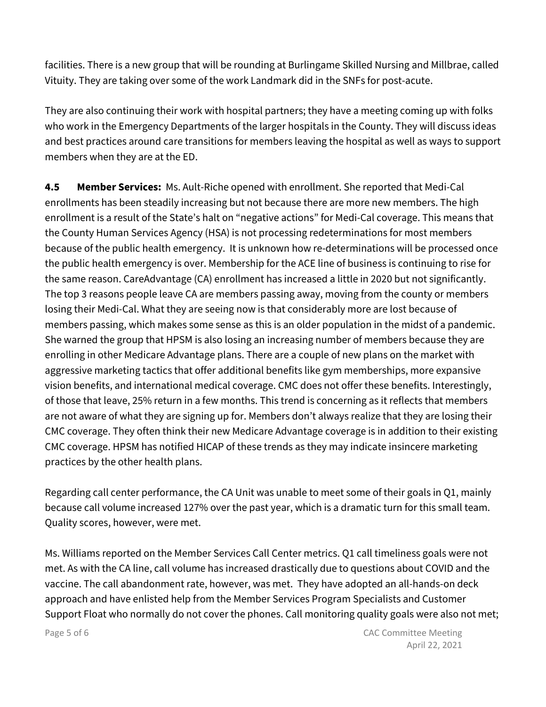facilities. There is a new group that will be rounding at Burlingame Skilled Nursing and Millbrae, called Vituity. They are taking over some of the work Landmark did in the SNFs for post-acute.

They are also continuing their work with hospital partners; they have a meeting coming up with folks who work in the Emergency Departments of the larger hospitals in the County. They will discuss ideas and best practices around care transitions for members leaving the hospital as well as ways to support members when they are at the ED.

**4.5 Member Services:** Ms. Ault-Riche opened with enrollment. She reported that Medi-Cal enrollments has been steadily increasing but not because there are more new members. The high enrollment is a result of the State's halt on "negative actions" for Medi-Cal coverage. This means that the County Human Services Agency (HSA) is not processing redeterminations for most members because of the public health emergency. It is unknown how re-determinations will be processed once the public health emergency is over. Membership for the ACE line of business is continuing to rise for the same reason. CareAdvantage (CA) enrollment has increased a little in 2020 but not significantly. The top 3 reasons people leave CA are members passing away, moving from the county or members losing their Medi-Cal. What they are seeing now is that considerably more are lost because of members passing, which makes some sense as this is an older population in the midst of a pandemic. She warned the group that HPSM is also losing an increasing number of members because they are enrolling in other Medicare Advantage plans. There are a couple of new plans on the market with aggressive marketing tactics that offer additional benefits like gym memberships, more expansive vision benefits, and international medical coverage. CMC does not offer these benefits. Interestingly, of those that leave, 25% return in a few months. This trend is concerning as it reflects that members are not aware of what they are signing up for. Members don't always realize that they are losing their CMC coverage. They often think their new Medicare Advantage coverage is in addition to their existing CMC coverage. HPSM has notified HICAP of these trends as they may indicate insincere marketing practices by the other health plans.

Regarding call center performance, the CA Unit was unable to meet some of their goals in Q1, mainly because call volume increased 127% over the past year, which is a dramatic turn for this small team. Quality scores, however, were met.

Ms. Williams reported on the Member Services Call Center metrics. Q1 call timeliness goals were not met. As with the CA line, call volume has increased drastically due to questions about COVID and the vaccine. The call abandonment rate, however, was met. They have adopted an all-hands-on deck approach and have enlisted help from the Member Services Program Specialists and Customer Support Float who normally do not cover the phones. Call monitoring quality goals were also not met;

Page 5 of 6 CAC Committee Meeting April 22, 2021